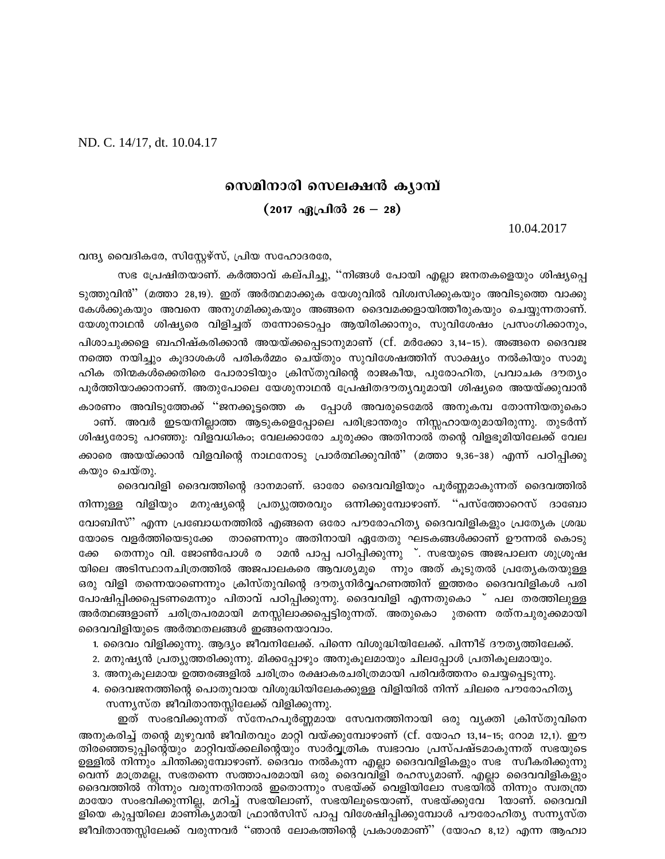ND. C. 14/17, dt. 10.04.17

വന്ദ്യ വൈദികരേ, സിസ്റ്റേഴ്സ്, പ്രിയ സഹോദരരേ,

കാരണം അവിടുത്തേക്ക് ''ജനക്കുട്ടത്തെ ക

കയും ചെയ്തു.

ക്കേ

യോടെ വളർത്തിയെടുക്കേ

# സെമിനാരി സെലക്ഷൻ കൃാമ്പ്

## (2017 ഏപ്രിൽ 26 — 28)

ടുത്തുവിൻ'' (മത്താ 28,19). ഇത് അർത്ഥമാക്കുക യേശുവിൽ വിശ്വസിക്കുകയും അവിടുത്തെ വാക്കു കേൾക്കുകയും അവനെ അനുഗമിക്കുകയും അങ്ങനെ ദൈവമക്കളായിത്തീരുകയും ചെയ്യുന്നതാണ്. യേശുനാഥൻ ശിഷ്യരെ വിളിച്ചത് തന്നോടൊപ്പം ആയിരിക്കാനും, സുവിശേഷം പ്രസംഗിക്കാനും, പിശാചുക്കളെ ബഹിഷ്കരിക്കാൻ അയയ്ക്കപ്പെടാനുമാണ് (cf. മർക്കോ 3,14-15). അങ്ങനെ ദൈവജ നത്തെ നയിച്ചും കൂദാശകൾ പരികർമ്മം ചെയ്തും സുവിശേഷത്തിന് സാക്ഷ്യം നൽകിയും സാമൂ ഹിക തിന്മകൾക്കെതിരെ പോരാടിയും ക്രിസ്തുവിന്റെ രാജകീയ, പുരോഹിത, പ്രവാചക ദൗതൃം പൂർത്തിയാക്കാനാണ്. അതുപോലെ യേശുനാഥൻ പ്രേഷിതദൗതൃവുമായി ശിഷ്യരെ അയയ്ക്കുവാൻ

ാണ്. അവർ ഇടയനില്ലാത്ത ആടുകളെപ്പോലെ പരിഭ്രാന്തരും നിസ്സഹായരുമായിരുന്നു. തുടർന്ന് ശിഷ്യരോടു പറഞ്ഞു: വിളവധികം; വേലക്കാരോ ചുരുക്കം അതിനാൽ തന്റെ വിളഭൂമിയിലേക്ക് വേല ക്കാരെ അയയ്ക്കാൻ വിളവിന്റെ നാഥനോടു പ്രാർത്ഥിക്കുവിൻ'' (മത്താ 9,36–38) എന്ന് പഠിപ്പിക്കു

ദൈവവിളി ദൈവത്തിന്റെ ദാനമാണ്. ഓരോ ദൈവവിളിയും പൂർണ്ണമാകുന്നത് ദൈവത്തിൽ

തെന്നും വി. ജോൺപോൾ ര ാമൻ പാപ്പ പഠിപ്പിക്കുന്നു ്. സഭയുടെ അജപാലന ശുശ്രൂഷ

താണെന്നും അതിനായി ഏതേതു ഘടകങ്ങൾക്കാണ് ഊന്നൽ കൊടു

നിന്നുള്ള വിളിയും മനുഷ്യന്റെ പ്രത്യുത്തരവും ഒന്നിക്കുമ്പോഴാണ്. ''പസ്ത്തോറെസ് ദാബോ വോബിസ്" എന്ന പ്രബോധനത്തിൽ എങ്ങനെ ഒരോ പൗരോഹിത്യ ദൈവവിളികളും പ്രത്യേക ശ്രദ്ധ

യിലെ അടിസ്ഥാനചിത്രത്തിൽ അജപാലകരെ ആവശ്യമുെ ന്നും അത് കുടുതൽ പ്രത്യേകതയുള്ള ഒരു വിളി തന്നെയാണെന്നും ക്രിസ്തുവിന്റെ ദൗതൃനിർവ്വഹണത്തിന് ഇത്തരം ദൈവവിളികൾ പരി

സഭ പ്രേഷിതയാണ്. കർത്താവ് കല്പിച്ചു, ''നിങ്ങൾ പോയി എല്ലാ ജനതകളെയും ശിഷ്യപ്പെ

10.04.2017

പ്പോൾ അവരുടെമേൽ അനുകമ്പ തോന്നിയതുകൊ

പോഷിപ്പിക്കപ്പെടണമെന്നും പിതാവ് പഠിപ്പിക്കുന്നു. ദൈവവിളി എന്നതുകൊ ് പല തരത്തിലുള്ള അർത്ഥങ്ങളാണ് ചരിത്രപരമായി മനസ്സിലാക്കപ്പെട്ടിരുന്നത്. അതുകൊ ുതന്നെ രത്നചുരുക്കമായി ദൈവവിളിയുടെ അർത്ഥതലങ്ങൾ ഇങ്ങനെയാവാം.

- 1. ദൈവം വിളിക്കുന്നു. ആദ്യം ജീവനിലേക്ക്. പിന്നെ വിശുദ്ധിയിലേക്ക്. പിന്നീട് ദൗതൃത്തിലേക്ക്.
- 2. മനുഷ്യൻ പ്രത്യുത്തരിക്കുന്നു. മിക്കപ്പോഴും അനുകൂലമായും ചിലപ്പോൾ പ്രതികൂലമായും.
- 3. അനുകൂലമായ ഉത്തരങ്ങളിൽ ചരിത്രം രക്ഷാകരചരിത്രമായി പരിവർത്തനം ചെയ്യപ്പെടുന്നു.
- 4. ദൈവജനത്തിന്റെ പൊതുവായ വിശുദ്ധിയിലേകക്കുള്ള വിളിയിൽ നിന്ന് ചിലരെ പൗരോഹിത്യ സന്ന്യസ്ത ജീവിതാന്തസ്സിലേക്ക് വിളിക്കുന്നു.

ഇത് സംഭവിക്കുന്നത് സ്നേഹപൂർണ്ണമായ സേവനത്തിനായി ഒരു വ്യക്തി ക്രിസ്തുവിനെ അനുകരിച്ച് തന്റെ മുഴുവൻ ജീവിതവും മാറ്റി വയ്ക്കുമ്പോഴാണ് (cf. യോഹ 13,14–15; റോമ 12,1). ഈ തിരഞ്ഞെടുപ്പിന്റെ്യും മാറ്റിവയ്ക്കലിന്റെയും സാർവ്വത്രിക സ്വഭാവം പ്രസ്പഷ്ടമാകുന്നത് സഭയുടെ ഉള്ളിൽ നിന്നും ചിന്തിക്കുമ്പോഴാണ്. ദൈവം നൽകുന്ന എല്ലാ ദൈവവിളികളും സഭ സ്വീകരിക്കുന്നു വെന്ന് മാത്രമല്ല, സഭതന്നെ സത്താപരമായി ഒരു ദൈവവിളി രഹസ്യമാണ്. എല്ലാ ദൈവവിളികളും ദൈവത്തിൽ നിന്നും വരുന്നതിനാൽ ഇതൊന്നും സഭയ്ക്ക് വെളിയിലോ സഭയിൽ നിന്നും സ്വതന്ത്ര മായോ സംഭവിക്കുന്നില്ല, മറിച്ച് സഭയിലാണ്, സഭയിലൂടെയാണ്, സഭയ്ക്കുവേ ിയാണ്. ദൈവവി ളിയെ കുപ്പയിലെ മാണിക്യമായി ഫ്രാൻസിസ് പാപ്പ വിശേഷിപ്പിക്കുമ്പോൾ പൗരോഹിത്യ സന്ന്യസ്ത ജീവിതാന്തസ്സിലേക്ക് വരുന്നവർ ''ഞാൻ ലോകത്തിന്റെ പ്രകാശമാണ്'' (യോഹ 8,12) എന്ന ആഹ്വാ